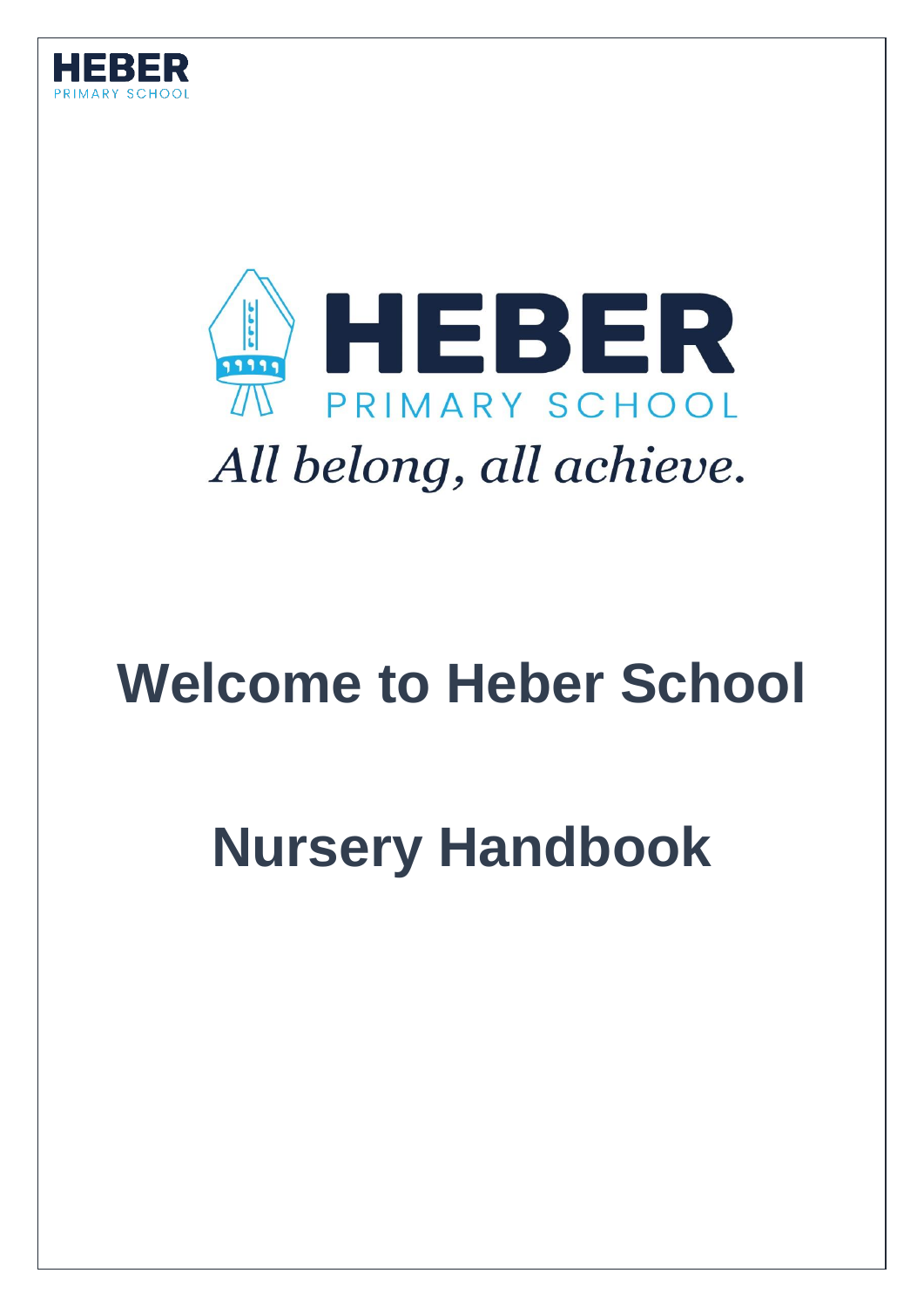



# **Welcome to Heber School**

# **Nursery Handbook**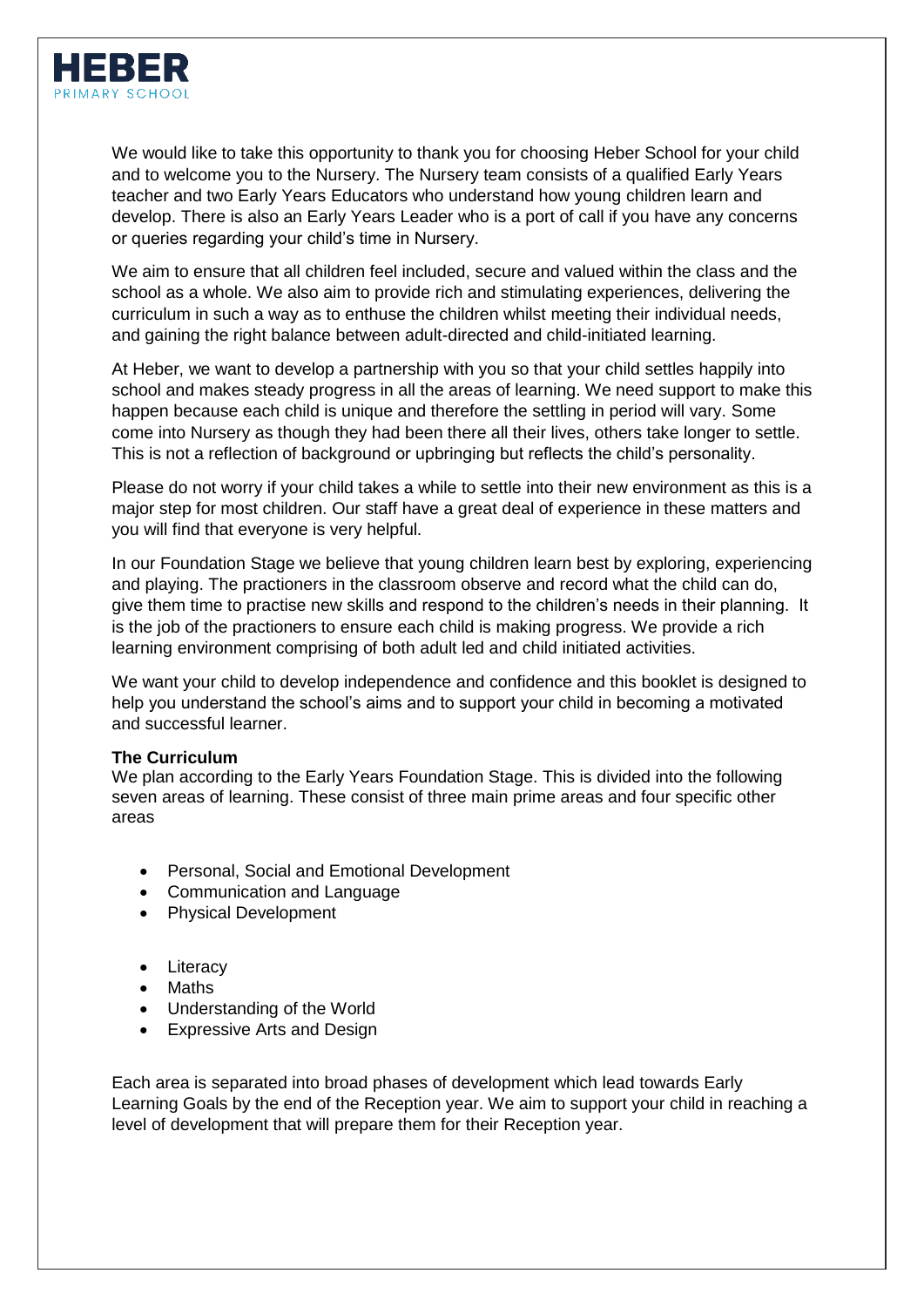

We would like to take this opportunity to thank you for choosing Heber School for your child and to welcome you to the Nursery. The Nursery team consists of a qualified Early Years teacher and two Early Years Educators who understand how young children learn and develop. There is also an Early Years Leader who is a port of call if you have any concerns or queries regarding your child's time in Nursery.

We aim to ensure that all children feel included, secure and valued within the class and the school as a whole. We also aim to provide rich and stimulating experiences, delivering the curriculum in such a way as to enthuse the children whilst meeting their individual needs, and gaining the right balance between adult-directed and child-initiated learning.

At Heber, we want to develop a partnership with you so that your child settles happily into school and makes steady progress in all the areas of learning. We need support to make this happen because each child is unique and therefore the settling in period will vary. Some come into Nursery as though they had been there all their lives, others take longer to settle. This is not a reflection of background or upbringing but reflects the child's personality.

Please do not worry if your child takes a while to settle into their new environment as this is a major step for most children. Our staff have a great deal of experience in these matters and you will find that everyone is very helpful.

In our Foundation Stage we believe that young children learn best by exploring, experiencing and playing. The practioners in the classroom observe and record what the child can do, give them time to practise new skills and respond to the children's needs in their planning. It is the job of the practioners to ensure each child is making progress. We provide a rich learning environment comprising of both adult led and child initiated activities.

We want your child to develop independence and confidence and this booklet is designed to help you understand the school's aims and to support your child in becoming a motivated and successful learner.

#### **The Curriculum**

We plan according to the Early Years Foundation Stage. This is divided into the following seven areas of learning. These consist of three main prime areas and four specific other areas

- Personal, Social and Emotional Development
- Communication and Language
- Physical Development
- Literacy
- Maths
- Understanding of the World
- Expressive Arts and Design

Each area is separated into broad phases of development which lead towards Early Learning Goals by the end of the Reception year. We aim to support your child in reaching a level of development that will prepare them for their Reception year.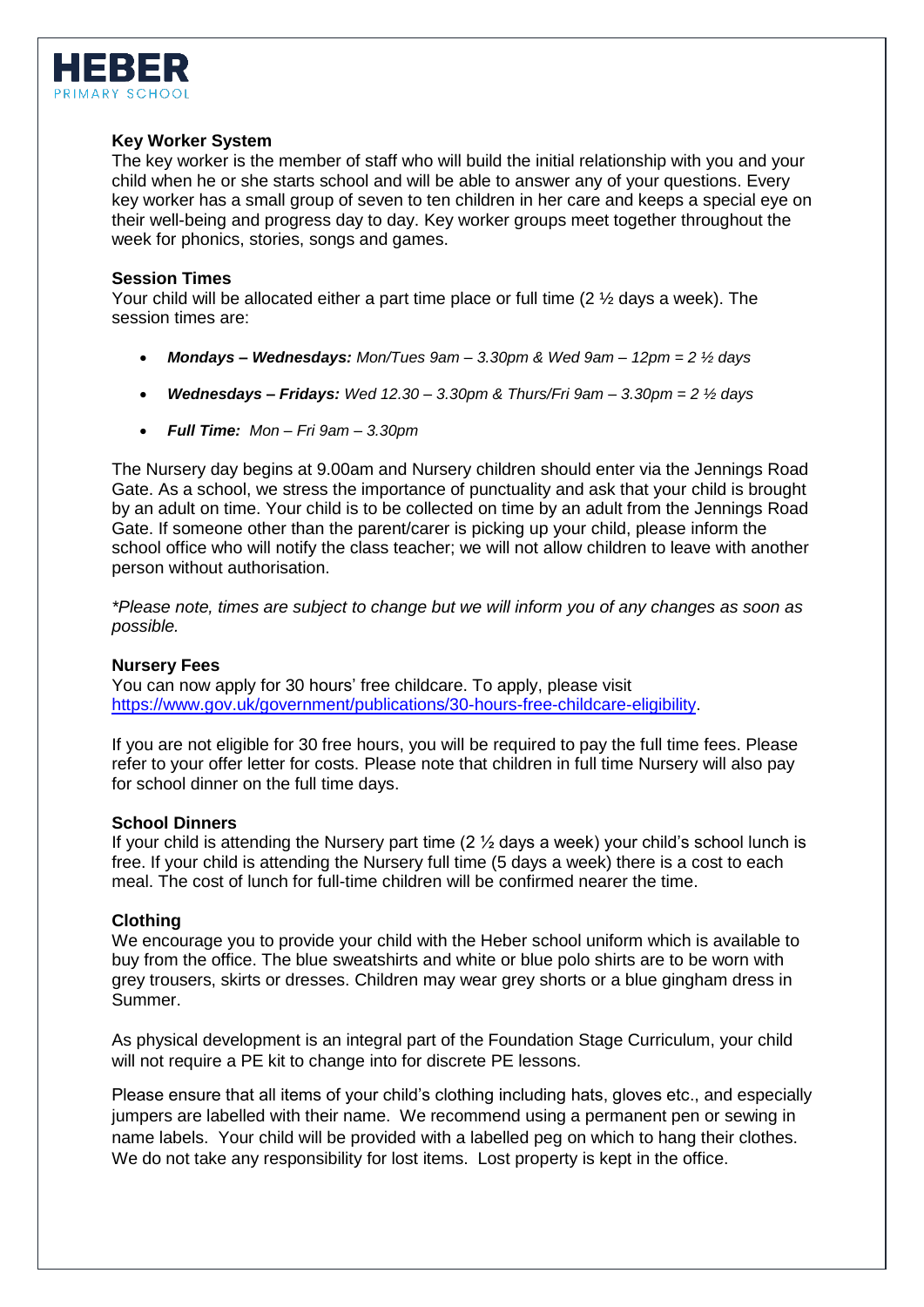

## **Key Worker System**

The key worker is the member of staff who will build the initial relationship with you and your child when he or she starts school and will be able to answer any of your questions. Every key worker has a small group of seven to ten children in her care and keeps a special eye on their well-being and progress day to day. Key worker groups meet together throughout the week for phonics, stories, songs and games.

### **Session Times**

Your child will be allocated either a part time place or full time (2 ½ days a week). The session times are:

- *Mondays – Wednesdays: Mon/Tues 9am – 3.30pm & Wed 9am – 12pm = 2 ½ days*
- *Wednesdays – Fridays: Wed 12.30 – 3.30pm & Thurs/Fri 9am – 3.30pm = 2 ½ days*
- *Full Time: Mon – Fri 9am – 3.30pm*

The Nursery day begins at 9.00am and Nursery children should enter via the Jennings Road Gate. As a school, we stress the importance of punctuality and ask that your child is brought by an adult on time. Your child is to be collected on time by an adult from the Jennings Road Gate. If someone other than the parent/carer is picking up your child, please inform the school office who will notify the class teacher; we will not allow children to leave with another person without authorisation.

*\*Please note, times are subject to change but we will inform you of any changes as soon as possible.*

## **Nursery Fees**

You can now apply for 30 hours' free childcare. To apply, please visit [https://www.gov.uk/government/publications/30-hours-free-childcare-eligibility.](https://www.gov.uk/government/publications/30-hours-free-childcare-eligibility)

If you are not eligible for 30 free hours, you will be required to pay the full time fees. Please refer to your offer letter for costs. Please note that children in full time Nursery will also pay for school dinner on the full time days.

#### **School Dinners**

If your child is attending the Nursery part time  $(2 \frac{1}{2} \text{ days a week})$  your child's school lunch is free. If your child is attending the Nursery full time (5 days a week) there is a cost to each meal. The cost of lunch for full-time children will be confirmed nearer the time.

## **Clothing**

We encourage you to provide your child with the Heber school uniform which is available to buy from the office. The blue sweatshirts and white or blue polo shirts are to be worn with grey trousers, skirts or dresses. Children may wear grey shorts or a blue gingham dress in Summer.

As physical development is an integral part of the Foundation Stage Curriculum, your child will not require a PE kit to change into for discrete PE lessons.

Please ensure that all items of your child's clothing including hats, gloves etc., and especially jumpers are labelled with their name. We recommend using a permanent pen or sewing in name labels. Your child will be provided with a labelled peg on which to hang their clothes. We do not take any responsibility for lost items. Lost property is kept in the office.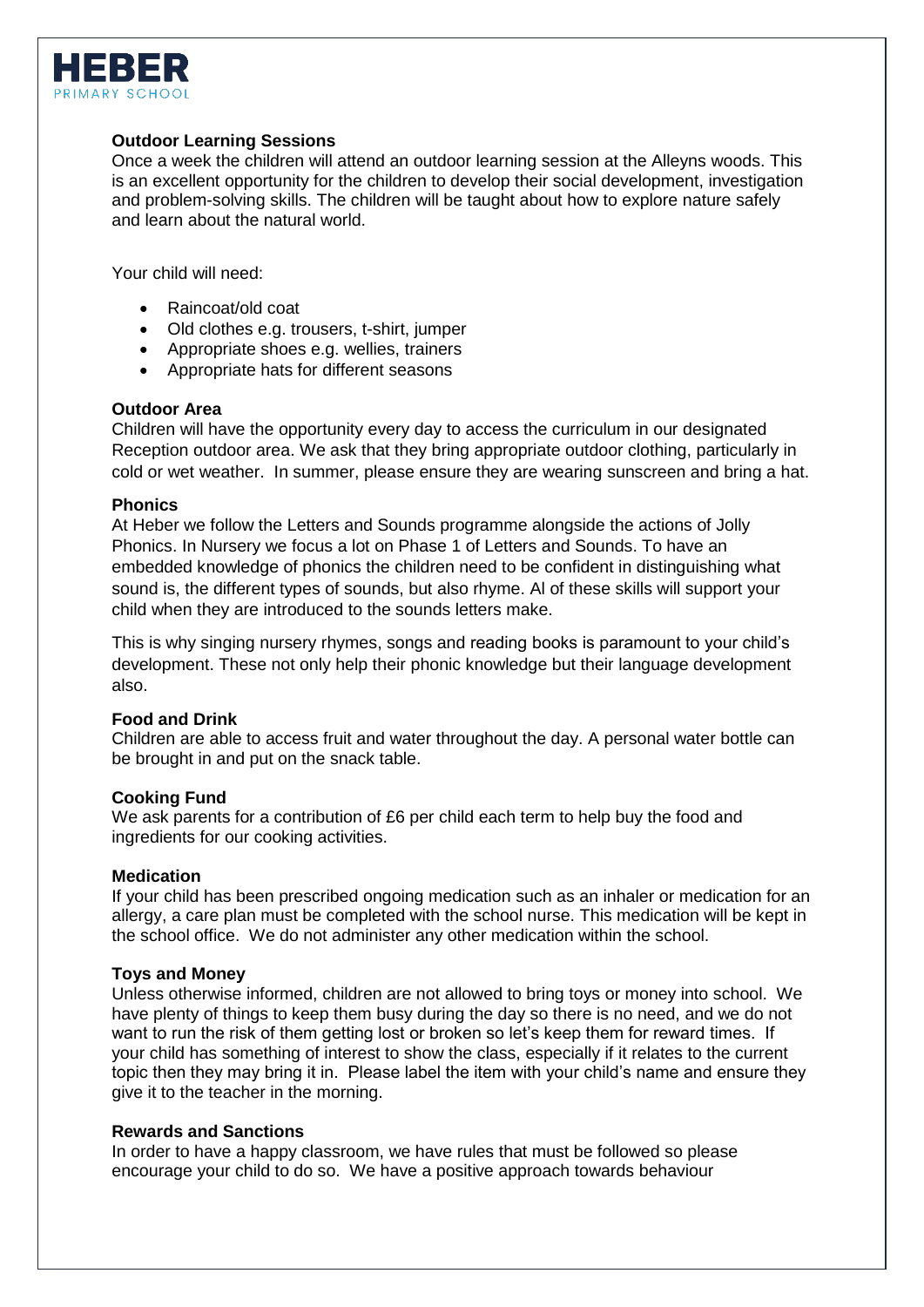

## **Outdoor Learning Sessions**

Once a week the children will attend an outdoor learning session at the Alleyns woods. This is an excellent opportunity for the children to develop their social development, investigation and problem-solving skills. The children will be taught about how to explore nature safely and learn about the natural world.

Your child will need:

- Raincoat/old coat
- Old clothes e.g. trousers, t-shirt, jumper
- Appropriate shoes e.g. wellies, trainers
- Appropriate hats for different seasons

#### **Outdoor Area**

Children will have the opportunity every day to access the curriculum in our designated Reception outdoor area. We ask that they bring appropriate outdoor clothing, particularly in cold or wet weather. In summer, please ensure they are wearing sunscreen and bring a hat.

#### **Phonics**

At Heber we follow the Letters and Sounds programme alongside the actions of Jolly Phonics. In Nursery we focus a lot on Phase 1 of Letters and Sounds. To have an embedded knowledge of phonics the children need to be confident in distinguishing what sound is, the different types of sounds, but also rhyme. Al of these skills will support your child when they are introduced to the sounds letters make.

This is why singing nursery rhymes, songs and reading books is paramount to your child's development. These not only help their phonic knowledge but their language development also.

#### **Food and Drink**

Children are able to access fruit and water throughout the day. A personal water bottle can be brought in and put on the snack table.

#### **Cooking Fund**

We ask parents for a contribution of £6 per child each term to help buy the food and ingredients for our cooking activities.

#### **Medication**

If your child has been prescribed ongoing medication such as an inhaler or medication for an allergy, a care plan must be completed with the school nurse. This medication will be kept in the school office. We do not administer any other medication within the school.

#### **Toys and Money**

Unless otherwise informed, children are not allowed to bring toys or money into school. We have plenty of things to keep them busy during the day so there is no need, and we do not want to run the risk of them getting lost or broken so let's keep them for reward times. If your child has something of interest to show the class, especially if it relates to the current topic then they may bring it in. Please label the item with your child's name and ensure they give it to the teacher in the morning.

## **Rewards and Sanctions**

In order to have a happy classroom, we have rules that must be followed so please encourage your child to do so. We have a positive approach towards behaviour